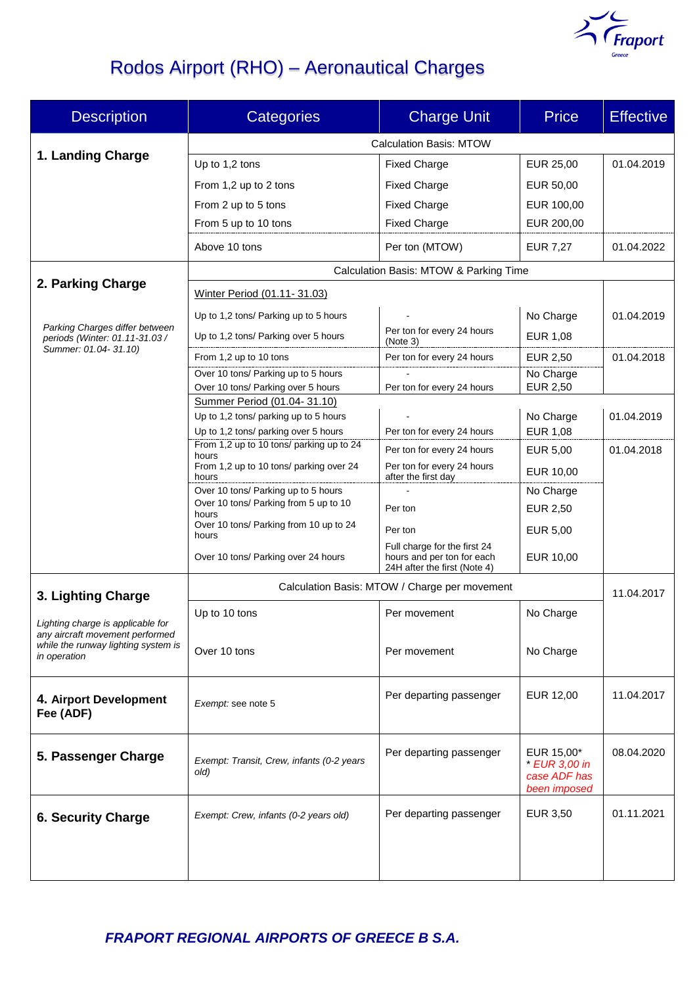

# Rodos Airport (RHO) – Aeronautical Charges

| <b>Description</b>                                                   | <b>Categories</b>                                                    | <b>Charge Unit</b>                                         | <b>Price</b>                                                | <b>Effective</b> |  |
|----------------------------------------------------------------------|----------------------------------------------------------------------|------------------------------------------------------------|-------------------------------------------------------------|------------------|--|
|                                                                      | <b>Calculation Basis: MTOW</b>                                       |                                                            |                                                             |                  |  |
| 1. Landing Charge                                                    | Up to 1,2 tons                                                       | <b>Fixed Charge</b>                                        | EUR 25,00                                                   | 01.04.2019       |  |
|                                                                      | From 1,2 up to 2 tons                                                | <b>Fixed Charge</b>                                        | EUR 50,00                                                   |                  |  |
|                                                                      | From 2 up to 5 tons                                                  | <b>Fixed Charge</b>                                        | EUR 100,00                                                  |                  |  |
|                                                                      | From 5 up to 10 tons                                                 | <b>Fixed Charge</b>                                        | EUR 200,00                                                  |                  |  |
|                                                                      | Above 10 tons                                                        | Per ton (MTOW)                                             | <b>EUR 7,27</b>                                             | 01.04.2022       |  |
|                                                                      | Calculation Basis: MTOW & Parking Time                               |                                                            |                                                             |                  |  |
| 2. Parking Charge                                                    | Winter Period (01.11-31.03)                                          |                                                            |                                                             |                  |  |
| Parking Charges differ between<br>periods (Winter: 01.11-31.03 /     | Up to 1,2 tons/ Parking up to 5 hours                                |                                                            | No Charge                                                   | 01.04.2019       |  |
|                                                                      | Up to 1,2 tons/ Parking over 5 hours                                 | Per ton for every 24 hours<br>(Note 3)                     | <b>EUR 1,08</b>                                             |                  |  |
| Summer: 01.04-31.10)                                                 | From 1.2 up to 10 tons                                               | Per ton for every 24 hours                                 | <b>EUR 2,50</b>                                             | 01.04.2018       |  |
|                                                                      | Over 10 tons/ Parking up to 5 hours                                  |                                                            | No Charge                                                   |                  |  |
|                                                                      | Over 10 tons/ Parking over 5 hours                                   | Per ton for every 24 hours                                 | EUR 2,50                                                    |                  |  |
|                                                                      | Summer Period (01.04-31.10)<br>Up to 1,2 tons/ parking up to 5 hours |                                                            |                                                             |                  |  |
|                                                                      | Up to 1,2 tons/ parking over 5 hours                                 | Per ton for every 24 hours                                 | No Charge<br>EUR 1,08                                       | 01.04.2019       |  |
|                                                                      | From 1,2 up to 10 tons/ parking up to 24                             | Per ton for every 24 hours                                 | <b>EUR 5,00</b>                                             | 01.04.2018       |  |
|                                                                      | hours<br>From 1,2 up to 10 tons/ parking over 24                     | Per ton for every 24 hours<br>after the first day          | EUR 10,00                                                   |                  |  |
|                                                                      | hours<br>Over 10 tons/ Parking up to 5 hours                         |                                                            | No Charge                                                   |                  |  |
|                                                                      | Over 10 tons/ Parking from 5 up to 10                                | Per ton                                                    | EUR 2,50                                                    |                  |  |
|                                                                      | hours<br>Over 10 tons/ Parking from 10 up to 24                      | Per ton                                                    | EUR 5,00                                                    |                  |  |
|                                                                      | hours                                                                | Full charge for the first 24                               |                                                             |                  |  |
|                                                                      | Over 10 tons/ Parking over 24 hours                                  | hours and per ton for each<br>24H after the first (Note 4) | EUR 10,00                                                   |                  |  |
| 3. Lighting Charge                                                   | Calculation Basis: MTOW / Charge per movement                        |                                                            |                                                             | 11.04.2017       |  |
|                                                                      | Up to 10 tons                                                        | Per movement                                               | No Charge                                                   |                  |  |
| Lighting charge is applicable for<br>any aircraft movement performed |                                                                      |                                                            |                                                             |                  |  |
| while the runway lighting system is<br>in operation                  | Over 10 tons                                                         | Per movement                                               | No Charge                                                   |                  |  |
|                                                                      |                                                                      |                                                            |                                                             |                  |  |
| 4. Airport Development<br>Fee (ADF)                                  | Exempt: see note 5                                                   | Per departing passenger                                    | EUR 12,00                                                   | 11.04.2017       |  |
| 5. Passenger Charge                                                  | Exempt: Transit, Crew, infants (0-2 years<br>old)                    | Per departing passenger                                    | EUR 15,00*<br>* EUR 3,00 in<br>case ADF has<br>been imposed | 08.04.2020       |  |
| <b>6. Security Charge</b>                                            | Exempt: Crew, infants (0-2 years old)                                | Per departing passenger                                    | EUR 3,50                                                    | 01.11.2021       |  |
|                                                                      |                                                                      |                                                            |                                                             |                  |  |

*FRAPORT REGIONAL AIRPORTS OF GREECE B S.A.*